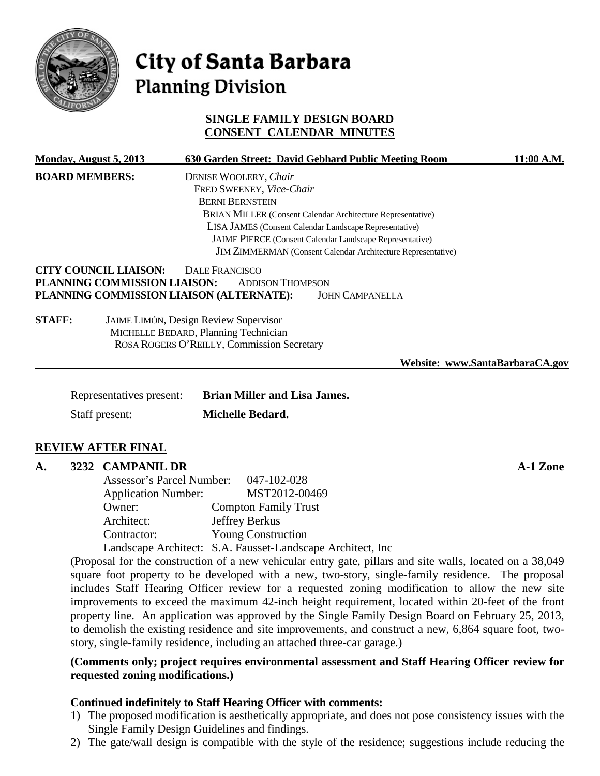

# City of Santa Barbara **Planning Division**

# **SINGLE FAMILY DESIGN BOARD CONSENT CALENDAR MINUTES**

| Monday, August 5, 2013 |                                                              | 630 Garden Street: David Gebhard Public Meeting Room                                                                   | 11:00 A.M.                      |  |  |  |
|------------------------|--------------------------------------------------------------|------------------------------------------------------------------------------------------------------------------------|---------------------------------|--|--|--|
| <b>BOARD MEMBERS:</b>  |                                                              | DENISE WOOLERY, Chair                                                                                                  |                                 |  |  |  |
|                        |                                                              | FRED SWEENEY, Vice-Chair                                                                                               |                                 |  |  |  |
|                        |                                                              | <b>BERNI BERNSTEIN</b><br>BRIAN MILLER (Consent Calendar Architecture Representative)                                  |                                 |  |  |  |
|                        |                                                              |                                                                                                                        |                                 |  |  |  |
|                        |                                                              | LISA JAMES (Consent Calendar Landscape Representative)                                                                 |                                 |  |  |  |
|                        |                                                              | JAIME PIERCE (Consent Calendar Landscape Representative)                                                               |                                 |  |  |  |
|                        |                                                              | JIM ZIMMERMAN (Consent Calendar Architecture Representative)                                                           |                                 |  |  |  |
|                        | <b>CITY COUNCIL LIAISON:</b><br>PLANNING COMMISSION LIAISON: | <b>DALE FRANCISCO</b><br><b>ADDISON THOMPSON</b><br>PLANNING COMMISSION LIAISON (ALTERNATE):<br><b>JOHN CAMPANELLA</b> |                                 |  |  |  |
| <b>STAFF:</b>          |                                                              | <b>JAIME LIMÓN, Design Review Supervisor</b>                                                                           |                                 |  |  |  |
|                        |                                                              | MICHELLE BEDARD, Planning Technician                                                                                   |                                 |  |  |  |
|                        |                                                              | ROSA ROGERS O'REILLY, Commission Secretary                                                                             |                                 |  |  |  |
|                        |                                                              |                                                                                                                        | Website: www.SantaBarbaraCA.gov |  |  |  |
|                        | Representatives present:                                     | <b>Brian Miller and Lisa James.</b>                                                                                    |                                 |  |  |  |
|                        |                                                              |                                                                                                                        |                                 |  |  |  |
| Staff present:         |                                                              | <b>Michelle Bedard.</b>                                                                                                |                                 |  |  |  |

#### **REVIEW AFTER FINAL**

#### **A. 3232 CAMPANIL DR A-1 Zone**

| Assessor's Parcel Number:  | 047-102-028                                                 |
|----------------------------|-------------------------------------------------------------|
| <b>Application Number:</b> | MST2012-00469                                               |
| Owner:                     | <b>Compton Family Trust</b>                                 |
| Architect:                 | Jeffrey Berkus                                              |
| Contractor:                | <b>Young Construction</b>                                   |
|                            | Landscape Architect: S.A. Fausset-Landscape Architect, Inc. |

(Proposal for the construction of a new vehicular entry gate, pillars and site walls, located on a 38,049 square foot property to be developed with a new, two-story, single-family residence. The proposal includes Staff Hearing Officer review for a requested zoning modification to allow the new site improvements to exceed the maximum 42-inch height requirement, located within 20-feet of the front property line. An application was approved by the Single Family Design Board on February 25, 2013, to demolish the existing residence and site improvements, and construct a new, 6,864 square foot, twostory, single-family residence, including an attached three-car garage.)

#### **(Comments only; project requires environmental assessment and Staff Hearing Officer review for requested zoning modifications.)**

#### **Continued indefinitely to Staff Hearing Officer with comments:**

- 1) The proposed modification is aesthetically appropriate, and does not pose consistency issues with the Single Family Design Guidelines and findings.
- 2) The gate/wall design is compatible with the style of the residence; suggestions include reducing the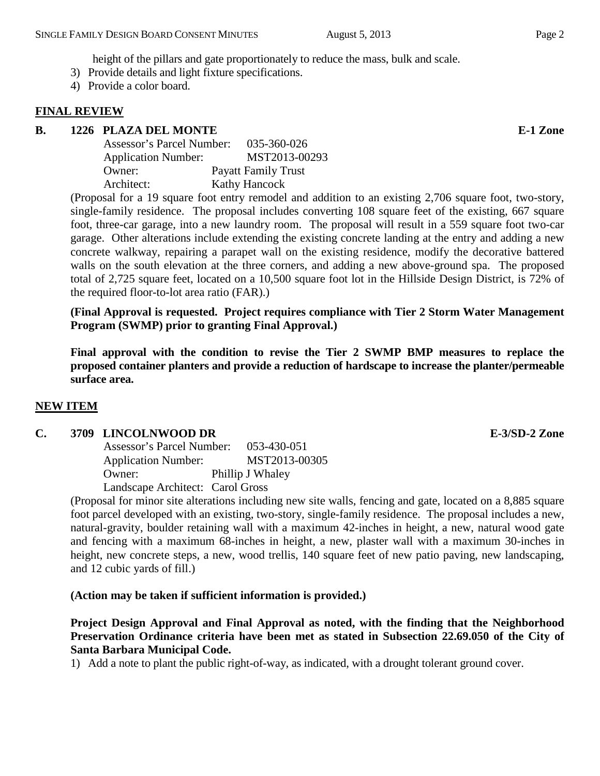height of the pillars and gate proportionately to reduce the mass, bulk and scale.

- 3) Provide details and light fixture specifications.
- 4) Provide a color board.

# **FINAL REVIEW**

# **B. 1226 PLAZA DEL MONTE E-1 Zone**

| Assessor's Parcel Number:  | 035-360-026                |
|----------------------------|----------------------------|
| <b>Application Number:</b> | MST2013-00293              |
| Owner:                     | <b>Payatt Family Trust</b> |
| Architect:                 | <b>Kathy Hancock</b>       |

(Proposal for a 19 square foot entry remodel and addition to an existing 2,706 square foot, two-story, single-family residence. The proposal includes converting 108 square feet of the existing, 667 square foot, three-car garage, into a new laundry room. The proposal will result in a 559 square foot two-car garage. Other alterations include extending the existing concrete landing at the entry and adding a new concrete walkway, repairing a parapet wall on the existing residence, modify the decorative battered walls on the south elevation at the three corners, and adding a new above-ground spa. The proposed total of 2,725 square feet, located on a 10,500 square foot lot in the Hillside Design District, is 72% of the required floor-to-lot area ratio (FAR).)

**(Final Approval is requested. Project requires compliance with Tier 2 Storm Water Management Program (SWMP) prior to granting Final Approval.)**

**Final approval with the condition to revise the Tier 2 SWMP BMP measures to replace the proposed container planters and provide a reduction of hardscape to increase the planter/permeable surface area.**

# **NEW ITEM**

# **C. 3709 LINCOLNWOOD DR E-3/SD-2 Zone**

Assessor's Parcel Number: 053-430-051 Application Number: MST2013-00305 Owner: Phillip J Whaley Landscape Architect: Carol Gross

(Proposal for minor site alterations including new site walls, fencing and gate, located on a 8,885 square foot parcel developed with an existing, two-story, single-family residence. The proposal includes a new, natural-gravity, boulder retaining wall with a maximum 42-inches in height, a new, natural wood gate and fencing with a maximum 68-inches in height, a new, plaster wall with a maximum 30-inches in height, new concrete steps, a new, wood trellis, 140 square feet of new patio paving, new landscaping, and 12 cubic yards of fill.)

# **(Action may be taken if sufficient information is provided.)**

**Project Design Approval and Final Approval as noted, with the finding that the Neighborhood Preservation Ordinance criteria have been met as stated in Subsection 22.69.050 of the City of Santa Barbara Municipal Code.**

1) Add a note to plant the public right-of-way, as indicated, with a drought tolerant ground cover.